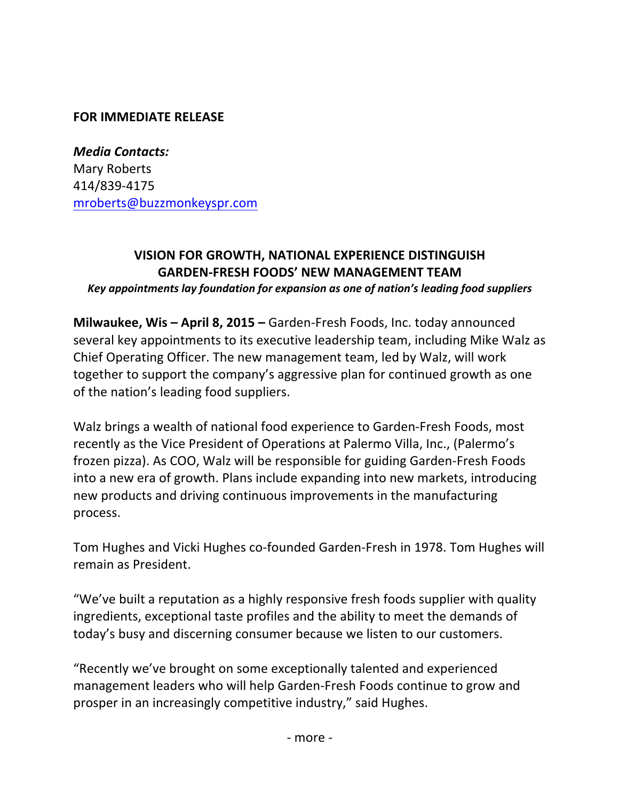## **FOR IMMEDIATE RELEASE**

*Media Contacts:* Mary Roberts 414/839-4175 mroberts@buzzmonkeyspr.com

## **VISION FOR GROWTH, NATIONAL EXPERIENCE DISTINGUISH GARDEN-FRESH FOODS' NEW MANAGEMENT TEAM**  *Key appointments lay foundation for expansion as one of nation's leading food suppliers*

**Milwaukee, Wis – April 8, 2015 – Garden-Fresh Foods, Inc. today announced** several key appointments to its executive leadership team, including Mike Walz as Chief Operating Officer. The new management team, led by Walz, will work together to support the company's aggressive plan for continued growth as one of the nation's leading food suppliers.

Walz brings a wealth of national food experience to Garden-Fresh Foods, most recently as the Vice President of Operations at Palermo Villa, Inc., (Palermo's frozen pizza). As COO, Walz will be responsible for guiding Garden-Fresh Foods into a new era of growth. Plans include expanding into new markets, introducing new products and driving continuous improvements in the manufacturing process. 

Tom Hughes and Vicki Hughes co-founded Garden-Fresh in 1978. Tom Hughes will remain as President.

"We've built a reputation as a highly responsive fresh foods supplier with quality ingredients, exceptional taste profiles and the ability to meet the demands of today's busy and discerning consumer because we listen to our customers.

"Recently we've brought on some exceptionally talented and experienced management leaders who will help Garden-Fresh Foods continue to grow and prosper in an increasingly competitive industry," said Hughes.